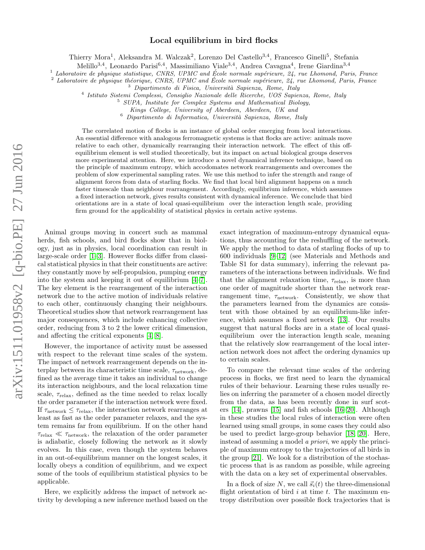# arXiv:1511.01958v2 [q-bio.PE] 27 Jun 2016 arXiv:1511.01958v2 [q-bio.PE] 27 Jun 2016

# Local equilibrium in bird flocks

Thierry Mora<sup>1</sup>, Aleksandra M. Walczak<sup>2</sup>, Lorenzo Del Castello<sup>3,4</sup>, Francesco Ginelli<sup>5</sup>, Stefania

Melillo<sup>3,4</sup>, Leonardo Parisi<sup>6,4</sup>, Massimiliano Viale<sup>3,4</sup>, Andrea Cavagna<sup>4</sup>, Irene Giardina<sup>3,4</sup>

<sup>1</sup> Laboratoire de physique statistique, CNRS, UPMC and École normale supérieure,  $24$ , rue Lhomond, Paris, France

 $^2$  Laboratoire de physique théorique, CNRS, UPMC and École normale supérieure, 24, rue Lhomond, Paris, France

 $3$  Dipartimento di Fisica, Università Sapienza, Rome, Italy

4 Istituto Sistemi Complessi, Consiglio Nazionale delle Ricerche, UOS Sapienza, Rome, Italy

<sup>5</sup> SUPA, Institute for Complex Systems and Mathematical Biology,

Kings College, University of Aberdeen, Aberdeen, UK and

 $^6$  Dipartimento di Informatica, Università Sapienza, Rome, Italy

The correlated motion of flocks is an instance of global order emerging from local interactions. An essential difference with analogous ferromagnetic systems is that flocks are active: animals move relative to each other, dynamically rearranging their interaction network. The effect of this offequilibrium element is well studied theoretically, but its impact on actual biological groups deserves more experimental attention. Here, we introduce a novel dynamical inference technique, based on the principle of maximum entropy, which accodomates network rearrangements and overcomes the problem of slow experimental sampling rates. We use this method to infer the strength and range of alignment forces from data of starling flocks. We find that local bird alignment happens on a much faster timescale than neighbour rearrangement. Accordingly, equilibrium inference, which assumes a fixed interaction network, gives results consistent with dynamical inference. We conclude that bird orientations are in a state of local quasi-equilibrium over the interaction length scale, providing firm ground for the applicability of statistical physics in certain active systems.

Animal groups moving in concert such as mammal herds, fish schools, and bird flocks show that in biology, just as in physics, local coordination can result in large-scale order [\[1–](#page-5-0)[3\]](#page-5-1). However flocks differ from classical statistical physics in that their constituents are active: they constantly move by self-propulsion, pumping energy into the system and keeping it out of equilibrium [\[4–](#page-5-2)[7\]](#page-5-3). The key element is the rearrangement of the interaction network due to the active motion of individuals relative to each other, continuously changing their neighbours. Theoretical studies show that network rearrangement has major consequences, which include enhancing collective order, reducing from 3 to 2 the lower critical dimension, and affecting the critical exponents [\[4,](#page-5-2) [8\]](#page-5-4).

However, the importance of activity must be assessed with respect to the relevant time scales of the system. The impact of network rearrangement depends on the interplay between its characteristic time scale,  $\tau_{\text{network}}$ , defined as the average time it takes an individual to change its interaction neighbours, and the local relaxation time scale,  $\tau_{\rm relax}$ , defined as the time needed to relax locally the order parameter if the interaction network were fixed. If  $\tau_{\text{network}} \leq \tau_{\text{relax}}$ , the interaction network rearranges at least as fast as the order parameter relaxes, and the system remains far from equilibrium. If on the other hand  $\tau_{\text{relax}} \ll \tau_{\text{network}}$ , the relaxation of the order parameter is adiabatic, closely following the network as it slowly evolves. In this case, even though the system behaves in an out-of-equilibrium manner on the longest scales, it locally obeys a condition of equilibrium, and we expect some of the tools of equilibrium statistical physics to be applicable.

Here, we explicitly address the impact of network activity by developing a new inference method based on the exact integration of maximum-entropy dynamical equations, thus accounting for the reshuffling of the network. We apply the method to data of starling flocks of up to 600 individuals [\[9–](#page-5-5)[12\]](#page-5-6) (see Materials and Methods and Table S1 for data summary), inferring the relevant parameters of the interactions between individuals. We find that the alignment relaxation time,  $\tau_{relax}$ , is more than one order of magnitude shorter than the network rearrangement time,  $\tau_{network}$ . Consistently, we show that the parameters learned from the dynamics are consistent with those obtained by an equilibrium-like inference, which assumes a fixed network [\[13\]](#page-5-7). Our results suggest that natural flocks are in a state of local quasiequilibrium over the interaction length scale, meaning that the relatively slow rearrangement of the local interaction network does not affect the ordering dynamics up to certain scales.

To compare the relevant time scales of the ordering process in flocks, we first need to learn the dynamical rules of their behaviour. Learning these rules usually relies on inferring the parameter of a chosen model directly from the data, as has been recently done in surf scoters [\[14\]](#page-6-0), prawns [\[15\]](#page-6-1) and fish schools [\[16–](#page-6-2)[20\]](#page-6-3). Although in these studies the local rules of interaction were often learned using small groups, in some cases they could also be used to predict large-group behavior [\[18,](#page-6-4) [20\]](#page-6-3). Here, instead of assuming a model a priori, we apply the principle of maximum entropy to the trajectories of all birds in the group [\[21\]](#page-6-5). We look for a distribution of the stochastic process that is as random as possible, while agreeing with the data on a key set of experimental observables.

In a flock of size N, we call  $\vec{s}_i(t)$  the three-dimensional flight orientation of bird  $i$  at time  $t$ . The maximum entropy distribution over possible flock trajectories that is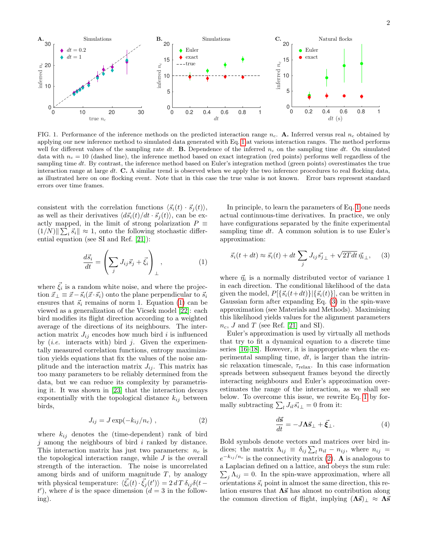

<span id="page-1-4"></span>FIG. 1. Performance of the inference methods on the predicted interaction range  $n_c$ . A. Inferred versus real  $n_c$  obtained by applying our new inference method to simulated data generated with Eq. [1](#page-1-0) at various interaction ranges. The method performs well for different values of the sampling rate dt. **B.** Dependence of the inferred  $n_c$  on the sampling time dt. On simulated data with  $n_c = 10$  (dashed line), the inference method based on exact integration (red points) performs well regardless of the sampling time  $dt$ . By contrast, the inference method based on Euler's integration method (green points) overestimates the true interaction range at large  $dt$ . C. A similar trend is observed when we apply the two inference procedures to real flocking data, as illustrated here on one flocking event. Note that in this case the true value is not known. Error bars represent standard errors over time frames.

consistent with the correlation functions  $\langle \vec{s_i}(t) \cdot \vec{s}_i(t) \rangle$ , as well as their derivatives  $\langle d\vec{s_i}(t)/dt \cdot \vec{s}_i(t)\rangle$ , can be exactly mapped, in the limit of strong polarization  $P \equiv$  $(1/N)$   $\sum_i \vec{s_i}$   $\leq 1$ , onto the following stochastic differential equation (see SI and Ref. [\[21\]](#page-6-5)):

<span id="page-1-0"></span>
$$
\frac{d\vec{s}_i}{dt} = \left(\sum_j J_{ij}\vec{s}_j + \vec{\xi}_i\right)_{\perp},\tag{1}
$$

where  $\vec{\xi}_i$  is a random white noise, and where the projection  $\vec{x}_{\perp} \equiv \vec{x} - \vec{s}_i(\vec{x} \cdot \vec{s}_i)$  onto the plane perpendicular to  $\vec{s}_i$ ensures that  $\vec{s}_i$  remains of norm 1. Equation [\(1\)](#page-1-0) can be viewed as a generalization of the Vicsek model [\[22\]](#page-6-6): each bird modifies its flight direction according to a weighted average of the directions of its neighbours. The interaction matrix  $J_{ij}$  encodes how much bird i is influenced by (*i.e.* interacts with) bird *j*. Given the experimentally measured correlation functions, entropy maximization yields equations that fix the values of the noise amplitude and the interaction matrix  $J_{ij}$ . This matrix has too many parameters to be reliably determined from the data, but we can reduce its complexity by parametrising it. It was shown in [\[23\]](#page-6-7) that the interaction decays exponentially with the topological distance  $k_{ij}$  between birds,

<span id="page-1-2"></span>
$$
J_{ij} = J \exp(-k_{ij}/n_c) , \qquad (2)
$$

where  $k_{ij}$  denotes the (time-dependent) rank of bird  $j$  among the neighbours of bird  $i$  ranked by distance. This interaction matrix has just two parameters:  $n_c$  is the topological interaction range, while  $J$  is the overall strength of the interaction. The noise is uncorrelated among birds and of uniform magnitude  $T$ , by analogy with physical temperature:  $\langle \vec{\xi_i}(t) \cdot \vec{\xi_j}(t') \rangle = 2 d T \delta_{ij} \delta(t$  $t'$ ), where d is the space dimension  $(d = 3$  in the following).

In principle, to learn the parameters of Eq. [1](#page-1-0) one needs actual continuous-time derivatives. In practice, we only have configurations separated by the finite experimental sampling time dt. A common solution is to use Euler's approximation:

<span id="page-1-1"></span>
$$
\vec{s}_i(t+dt) \approx \vec{s}_i(t) + dt \sum_j J_{ij} \vec{s_j}{}_{\perp} + \sqrt{2Tdt} \,\vec{\eta_i}{}_{\perp}, \quad (3)
$$

where  $\vec{\eta}_i$  is a normally distributed vector of variance 1 in each direction. The conditional likelihood of the data given the model,  $P[{~\vec{s_i}(t+dt)}]$   $[{~\vec{s_i}(t)}]$ , can be written in Gaussian form after expanding Eq. [\(3\)](#page-1-1) in the spin-wave approximation (see Materials and Methods). Maximising this likelihood yields values for the alignment parameters  $n_c$ , J and T (see Ref. [\[21\]](#page-6-5) and SI).

Euler's approximation is used by virtually all methods that try to fit a dynamical equation to a discrete time series [\[16](#page-6-2)[–18\]](#page-6-4). However, it is inappropriate when the experimental sampling time,  $dt$ , is larger than the intrinsic relaxation timescale,  $\tau_{\text{relax}}$ . In this case information spreads between subsequent frames beyond the directly interacting neighbours and Euler's approximation overestimates the range of the interaction, as we shall see below. To overcome this issue, we rewrite Eq. [1](#page-1-0) by formally subtracting  $\sum_l J_{il} \vec{s_i} \_1 = 0$  from it:

<span id="page-1-3"></span>
$$
\frac{d\vec{\mathbf{s}}}{dt} = -J\mathbf{\Lambda}\vec{\mathbf{s}}_{\perp} + \vec{\boldsymbol{\xi}}_{\perp}.
$$
 (4)

Bold symbols denote vectors and matrices over bird indices; the matrix  $\Lambda_{ij} \equiv \delta_{ij} \sum_l n_{il} - n_{ij}$ , where  $n_{ij} =$  $e^{-k_{ij}/n_c}$  is the connectivity matrix [\(2\)](#page-1-2).  $\Lambda$  is analogous to a Laplacian defined on a lattice, and obeys the sum rule:  $\sum_j \Lambda_{ij} = 0$ . In the spin-wave approximation, where all orientations  $\vec{s}_i$  point in almost the same direction, this relation ensures that  $\Lambda \vec{s}$  has almost no contribution along the common direction of flight, implying  $(\Lambda \vec{s})_{\perp} \approx \Lambda \vec{s}$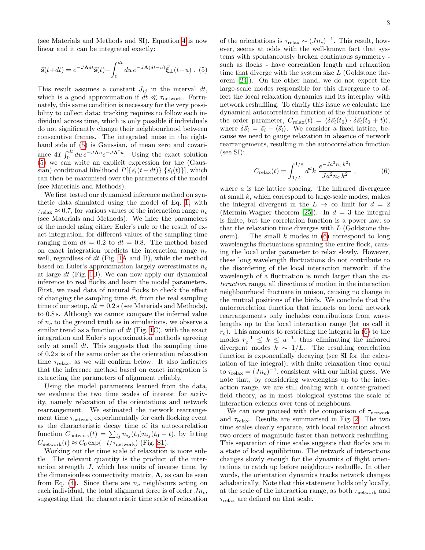(see Materials and Methods and SI). Equation [4](#page-1-3) is now linear and it can be integrated exactly:

<span id="page-2-0"></span>
$$
\vec{\mathbf{s}}(t+dt) = e^{-J\mathbf{\Lambda}dt}\vec{\mathbf{s}}(t) + \int_0^{dt} du \, e^{-J\mathbf{\Lambda}(dt-u)}\vec{\xi}_{\perp}(t+u) \ . \ (5)
$$

This result assumes a constant  $J_{ij}$  in the interval dt, which is a good approximation if  $dt \ll \tau_{\text{network}}$ . Fortunately, this same condition is necessary for the very possibility to collect data: tracking requires to follow each individual across time, which is only possible if individuals do not significantly change their neighbourhood between consecutive frames. The integrated noise in the righthand side of [\(5\)](#page-2-0) is Gaussian, of mean zero and covariance  $4T \int_0^{dt} du \, e^{-J\mathbf{\Lambda}^{\dagger} u}$ . Using the exact solution [\(5\)](#page-2-0) we can write an explicit expression for the (Gaussian) conditional likelihood  $P[{S_i(t+dt)}\mid {\overline{S_i(t)}}],$  which can then be maximised over the parameters of the model (see Materials and Methods).

We first tested our dynamical inference method on synthetic data simulated using the model of Eq. [1,](#page-1-0) with  $\tau_{\text{relax}} \approx 0.7$ , for various values of the interaction range  $n_c$ (see Materials and Methods). We infer the parameters of the model using either Euler's rule or the result of exact integration, for different values of the sampling time ranging from  $dt = 0.2$  to  $dt = 0.8$ . The method based on exact integration predicts the interaction range  $n_c$ well, regardless of  $dt$  (Fig. [1A](#page-1-4) and B), while the method based on Euler's approximation largely overestimates  $n_c$ at large dt (Fig. [1B](#page-1-4)). We can now apply our dynamical inference to real flocks and learn the model parameters. First, we used data of natural flocks to check the effect of changing the sampling time  $dt$ , from the real sampling time of our setup,  $dt = 0.2$  s (see Materials and Methods), to 0.8 s. Although we cannot compare the inferred value of  $n_c$  to the ground truth as in simulations, we observe a similar trend as a function of  $dt$  (Fig. [1C](#page-1-4)), with the exact integration and Euler's approximation methods agreeing only at small  $dt$ . This suggests that the sampling time of 0.2 s is of the same order as the orientation relaxation time  $\tau_{relax}$ , as we will confirm below. It also indicates that the inference method based on exact integration is extracting the parameters of alignment reliably.

Using the model parameters learned from the data, we evaluate the two time scales of interest for activity, namely relaxation of the orientations and network rearrangement. We estimated the network rearrangement time  $\tau_{\rm network}$  experimentally for each flocking event as the characteristic decay time of its autocorrelation function  $C_{\text{network}}(t) = \sum_{ij} n_{ij}(t_0) n_{ij}(t_0 + t)$ , by fitting  $C_{\text{network}}(t) \approx C_0 \exp(-t/\tau_{\text{network}})$  (Fig. [S1\)](#page-1-4).

Working out the time scale of relaxation is more subtle. The relevant quantity is the product of the interaction strength J, which has units of inverse time, by the dimensionless connectivity matrix,  $\Lambda$ , as can be seen from Eq. [\(4\)](#page-1-3). Since there are  $n_c$  neighbours acting on each individual, the total alignment force is of order  $J_{n_c}$ , suggesting that the characteristic time scale of relaxation

of the orientations is  $\tau_{relax} \sim (Jn_c)^{-1}$ . This result, however, seems at odds with the well-known fact that systems with spontaneously broken continuous symmetry such as flocks - have correlation length and relaxation time that diverge with the system size  $L$  (Goldstone theorem [\[24\]](#page-6-8)). On the other hand, we do not expect the large-scale modes responsible for this divergence to affect the local relaxation dynamics and its interplay with network reshuffling. To clarify this issue we calculate the dynamical autocorrelation function of the fluctuations of the order parameter,  $C_{relax}(t) = \langle \delta \vec{s_i}(t_0) \cdot \delta \vec{s_i}(t_0 + t) \rangle$ , where  $\delta \vec{s}_i = \vec{s}_i - \langle \vec{s}_i \rangle$ . We consider a fixed lattice, because we need to gauge relaxation in absence of network rearrangements, resulting in the autocorrelation function (see SI):

<span id="page-2-1"></span>
$$
C_{\text{relax}}(t) = \int_{1/L}^{1/a} d^d k \ \frac{e^{-J a^2 n_c k^2 t}}{J a^2 n_c k^2} \ , \tag{6}
$$

where  $\alpha$  is the lattice spacing. The infrared divergence at small  $k$ , which correspond to large-scale modes, makes the integral divergent in the  $L \rightarrow \infty$  limit for  $d = 2$ (Mermin-Wagner theorem [\[25\]](#page-6-9)). In  $d = 3$  the integral is finite, but the correlation function is a power law, so that the relaxation time diverges with L (Goldstone theorem). The small  $k$  modes in  $(6)$  correspond to long wavelengths fluctuations spanning the entire flock, causing the local order parameter to relax slowly. However, these long wavelength fluctuations do not contribute to the disordering of the local interaction network: if the wavelength of a fluctuation is much larger than the *in*teraction range, all directions of motion in the interaction neighbourhood fluctuate in unison, causing no change in the mutual positions of the birds. We conclude that the autocorrelation function that impacts on local network rearrangements only includes contributions from wavelengths up to the local interaction range (let us call it  $r_c$ ). This amounts to restricting the integral in [\(6\)](#page-2-1) to the modes  $r_c^{-1} \leq k \leq a^{-1}$ , thus eliminating the infrared divergent modes  $k \sim 1/L$ . The resulting correlation function is exponentially decaying (see SI for the calculation of the integral), with finite relaxation time equal to  $\tau_{\text{relax}} = (Jn_c)^{-1}$ , consistent with our initial guess. We note that, by considering wavelengths up to the interaction range, we are still dealing with a coarse-grained field theory, as in most biological systems the scale of interaction extends over tens of neighbours.

We can now proceed with the comparison of  $\tau_{\text{network}}$ and  $\tau_{relax}$ . Results are summarised in Fig. [2.](#page-3-0) The two time scales clearly separate, with local relaxation almost two orders of magnitude faster than network reshuffling. This separation of time scales suggests that flocks are in a state of local equilibrium. The network of interactions changes slowly enough for the dynamics of flight orientations to catch up before neighbours reshuffle. In other words, the orientation dynamics tracks network changes adiabatically. Note that this statement holds only locally, at the scale of the interaction range, as both  $\tau_{\text{network}}$  and  $\tau_{\text{relax}}$  are defined on that scale.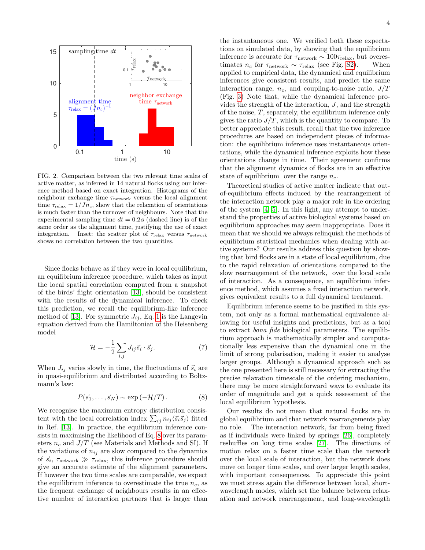

<span id="page-3-0"></span>FIG. 2. Comparison between the two relevant time scales of active matter, as inferred in 14 natural flocks using our inference method based on exact integration. Histograms of the neighbour exchange time  $\tau_{\rm network}$  versus the local alignment time  $\tau_{relax} = 1/Jn_c$ , show that the relaxation of orientations is much faster than the turnover of neighbours. Note that the experimental sampling time  $dt = 0.2$  s (dashed line) is of the same order as the alignment time, justifying the use of exact integration. Inset: the scatter plot of  $\tau_{\text{relax}}$  versus  $\tau_{\text{network}}$ shows no correlation between the two quantities.

Since flocks behave as if they were in local equilibrium, an equilibrium inference procedure, which takes as input the local spatial correlation computed from a snapshot of the birds' flight orientation [\[13\]](#page-5-7), should be consistent with the results of the dynamical inference. To check this prediction, we recall the equilibrium-like inference method of [\[13\]](#page-5-7). For symmetric  $J_{ij}$ , Eq. [1](#page-1-0) is the Langevin equation derived from the Hamiltonian of the Heisenberg model

$$
\mathcal{H} = -\frac{1}{2} \sum_{i,j} J_{ij} \vec{s}_i \cdot \vec{s}_j. \tag{7}
$$

When  $J_{ij}$  varies slowly in time, the fluctuations of  $\vec{s}_i$  are in quasi-equilibrium and distributed according to Boltzmann's law:

<span id="page-3-1"></span>
$$
P(\vec{s}_1, \dots, \vec{s}_N) \sim \exp\left(-\mathcal{H}/T\right). \tag{8}
$$

We recognise the maximum entropy distribution consistent with the local correlation index  $\sum_{ij} n_{ij} \langle \vec{s_i} \vec{s_j} \rangle$  fitted in Ref. [\[13\]](#page-5-7). In practice, the equilibrium inference consists in maximising the likelihood of Eq. [8](#page-3-1) over its parameters  $n_c$  and  $J/T$  (see Materials and Methods and SI). If the variations of  $n_{ij}$  are slow compared to the dynamics of  $\vec{s}_i$ ,  $\tau_{\text{network}} \gg \tau_{\text{relax}}$ , this inference procedure should give an accurate estimate of the alignment parameters. If however the two time scales are comparable, we expect the equilibrium inference to overestimate the true  $n_c$ , as the frequent exchange of neighbours results in an effective number of interaction partners that is larger than

the instantaneous one. We verified both these expectations on simulated data, by showing that the equilibrium inference is accurate for  $\tau_{\text{network}} \sim 100 \tau_{\text{relax}}$ , but overestimates  $n_c$  for  $\tau_{\text{network}} \sim \tau_{\text{relax}}$  (see Fig. [S2\)](#page-3-0). When applied to empirical data, the dynamical and equilibrium inferences give consistent results, and predict the same interaction range,  $n_c$ , and coupling-to-noise ratio,  $J/T$ (Fig. [3\)](#page-4-0) Note that, while the dynamical inference provides the strength of the interaction, J, and the strength of the noise, T, separately, the equilibrium inference only gives the ratio  $J/T$ , which is the quantity to compare. To better appreciate this result, recall that the two inference procedures are based on independent pieces of information: the equilibrium inference uses instantaneous orientations, while the dynamical inference exploits how these orientations change in time. Their agreement confirms that the alignment dynamics of flocks are in an effective state of equilibrium over the range  $n_c$ .

Theoretical studies of active matter indicate that outof-equilibrium effects induced by the rearrangement of the interaction network play a major role in the ordering of the system [\[4,](#page-5-2) [5\]](#page-5-8). In this light, any attempt to understand the properties of active biological systems based on equilibrium approaches may seem inappropriate. Does it mean that we should we always relinquish the methods of equilibrium statistical mechanics when dealing with active systems? Our results address this question by showing that bird flocks are in a state of local equilibrium, due to the rapid relaxation of orientations compared to the slow rearrangement of the network, over the local scale of interaction. As a consequence, an equilibrium inference method, which assumes a fixed interaction network, gives equivalent results to a full dynamical treatment.

Equilibrium inference seems to be justified in this system, not only as a formal mathematical equivalence allowing for useful insights and predictions, but as a tool to extract bona fide biological parameters. The equilibrium approach is mathematically simpler and computationally less expensive than the dynamical one in the limit of strong polarisation, making it easier to analyse larger groups. Although a dynamical approach such as the one presented here is still necessary for extracting the precise relaxation timescale of the ordering mechanism, there may be more straightforward ways to evaluate its order of magnitude and get a quick assessment of the local equilibrium hypothesis.

Our results do not mean that natural flocks are in global equilibrium and that network rearrangements play no role. The interaction network, far from being fixed as if individuals were linked by springs [\[26\]](#page-6-10), completely reshuffles on long time scales [\[27\]](#page-6-11). The directions of motion relax on a faster time scale than the network over the local scale of interaction, but the network does move on longer time scales, and over larger length scales, with important consequences. To appreciate this point we must stress again the difference between local, shortwavelength modes, which set the balance between relaxation and network rearrangement, and long-wavelength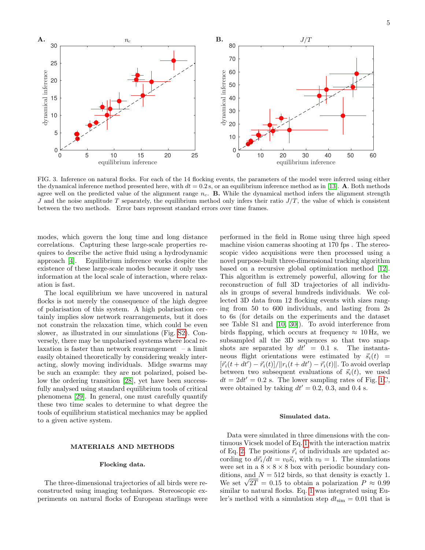

<span id="page-4-0"></span>FIG. 3. Inference on natural flocks. For each of the 14 flocking events, the parameters of the model were inferred using either the dynamical inference method presented here, with  $dt = 0.2$  s, or an equilibrium inference method as in [\[13\]](#page-5-7). A. Both methods agree well on the predicted value of the alignment range  $n_c$ . **B.** While the dynamical method infers the alignment strength J and the noise amplitude T separately, the equilibrium method only infers their ratio  $J/T$ , the value of which is consistent between the two methods. Error bars represent standard errors over time frames.

modes, which govern the long time and long distance correlations. Capturing these large-scale properties requires to describe the active fluid using a hydrodynamic approach [\[4\]](#page-5-2). Equilibrium inference works despite the existence of these large-scale modes because it only uses information at the local scale of interaction, where relaxation is fast.

The local equilibrium we have uncovered in natural flocks is not merely the consequence of the high degree of polarisation of this system. A high polarisation certainly implies slow network rearrangements, but it does not constrain the relaxation time, which could be even slower, as illustrated in our simulations (Fig. [S2\)](#page-3-0). Conversely, there may be unpolarised systems where local relaxation is faster than network rearrangement – a limit easily obtained theoretically by considering weakly interacting, slowly moving individuals. Midge swarms may be such an example: they are not polarized, poised below the ordering transition [\[28\]](#page-6-12), yet have been successfully analysed using standard equilibrium tools of critical phenomena [\[29\]](#page-6-13). In general, one must carefully quantify these two time scales to determine to what degree the tools of equilibrium statistical mechanics may be applied to a given active system.

# MATERIALS AND METHODS

#### Flocking data.

The three-dimensional trajectories of all birds were reconstructed using imaging techniques. Stereoscopic experiments on natural flocks of European starlings were performed in the field in Rome using three high speed machine vision cameras shooting at 170 fps . The stereoscopic video acquisitions were then processed using a novel purpose-built three-dimensional tracking algorithm based on a recursive global optimization method [\[12\]](#page-5-6). This algorithm is extremely powerful, allowing for the reconstruction of full 3D trajectories of all individuals in groups of several hundreds individuals. We collected 3D data from 12 flocking events with sizes ranging from 50 to 600 individuals, and lasting from 2s to 6s (for details on the experiments and the dataset see Table S1 and [\[10,](#page-5-9) [30\]](#page-6-14)). To avoid interference from birds flapping, which occurs at frequency  $\approx 10$  Hz, we subsampled all the 3D sequences so that two snapshots are separated by  $dt' = 0.1$  s. The instantaneous flight orientations were estimated by  $\vec{s}_i(t)$  =  $[\vec{r}_i(t + dt') - \vec{r}_i(t)] / ||r_i(t + dt') - \vec{r}_i(t)||$ . To avoid overlap between two subsequent evaluations of  $\vec{s}_i(t)$ , we used  $dt = 2dt' = 0.2$  s. The lower sampling rates of Fig. [1C](#page-1-4), were obtained by taking  $dt' = 0.2, 0.3,$  and 0.4 s.

# Simulated data.

Data were simulated in three dimensions with the continuous Vicsek model of Eq. [1](#page-1-0) with the interaction matrix of Eq. [2.](#page-1-2) The positions  $\vec{r}_i$  of individuals are updated according to  $d\vec{r}_i/dt = v_0 \vec{s}_i$ , with  $v_0 = 1$ . The simulations were set in a  $8 \times 8 \times 8$  box with periodic boundary conditions, and  $N = 512$  birds, so that density is exactly 1. ditions, and  $N = 512$  birds, so that density is exactly 1.<br>We set  $\sqrt{2T} = 0.15$  to obtain a polarization  $P \approx 0.99$ similar to natural flocks. Eq. [1](#page-1-0) was integrated using Euler's method with a simulation step  $dt_{\text{sim}} = 0.01$  that is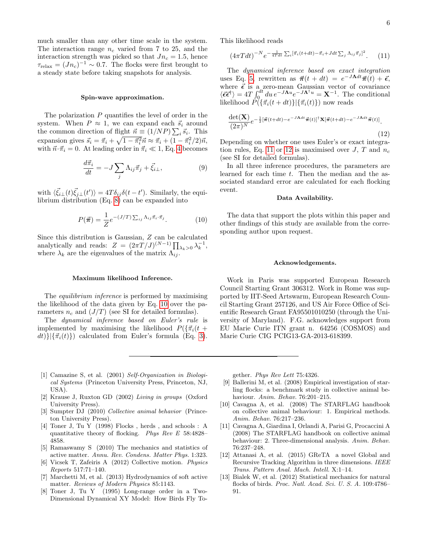much smaller than any other time scale in the system. The interaction range  $n_c$  varied from 7 to 25, and the interaction strength was picked so that  $Jn_c = 1.5$ , hence  $\tau_{\text{relax}} = (Jn_c)^{-1} \sim 0.7$ . The flocks were first brought to a steady state before taking snapshots for analysis.

# Spin-wave approximation.

The polarization  $P$  quantifies the level of order in the system. When  $P \approx 1$ , we can expand each  $\vec{s}_i$  around the common direction of flight  $\vec{n} \equiv (1/NP) \sum_i \vec{s_i}$ . This expansion gives  $\vec{s}_i = \vec{\pi}_i + \sqrt{1 - \vec{\pi}_i^2} \vec{n} \approx \vec{\pi}_i + (1 - \vec{\pi}_i^2/2)\vec{n}$ , with  $\vec{n} \cdot \vec{\pi}_i = 0$ . At leading order in  $\vec{\pi}_i \ll 1$ , Eq. [4](#page-1-3) becomes

$$
\frac{d\vec{\pi}_i}{dt} = -J\sum_j \Lambda_{ij}\vec{\pi}_j + \vec{\xi}_{i\perp},\tag{9}
$$

with  $\langle \vec{\xi_i}^{\,\,\perp}(t) \vec{\xi_j}^{\,\,\perp}(t') \rangle = 4T \delta_{ij} \delta(t-t')$ . Similarly, the equilibrium distribution (Eq. [8\)](#page-3-1) can be expanded into

<span id="page-5-10"></span>
$$
P(\vec{\pi}) = \frac{1}{Z} e^{-(J/T) \sum_{ij} \Lambda_{ij} \vec{\pi}_i \cdot \vec{\pi}_j}.
$$
 (10)

Since this distribution is Gaussian, Z can be calculated analytically and reads:  $Z = (2\pi T/J)^{(N-1)} \prod_{\lambda_k > 0} \lambda_k^{-1}$ , where  $\lambda_k$  are the eigenvalues of the matrix  $\Lambda_{ij}$ .

## Maximum likelihood Inference.

The equilibrium inference is performed by maximising the likelihood of the data given by Eq. [10](#page-5-10) over the parameters  $n_c$  and  $(J/T)$  (see SI for detailed formulas).

The dynamical inference based on Euler's rule is implemented by maximising the likelihood  $P(\{\vec{\pi}_i(t)$  $dt$ }}{ $\{\vec{\pi}_i(t)\}$ } calculated from Euler's formula (Eq. [3\)](#page-1-1). This likelihood reads

<span id="page-5-11"></span>
$$
\left(4\pi Tdt\right)^{-N} e^{-\frac{1}{4Tdt}\sum_{i} \left[\vec{\pi}_{i}\left(t+dt\right)-\vec{\pi}_{i}+Jdt\sum_{j}\Lambda_{ij}\vec{\pi}_{j}\right]^{2}}.\tag{11}
$$

The dynamical inference based on exact integration uses Eq. [5,](#page-2-0) rewritten as  $\vec{\pi}(t + dt) = e^{-J\Lambda dt}\vec{\pi}(t) + \vec{\epsilon},$ where  $\vec{\epsilon}$  is a zero-mean Gaussian vector of covariance  $\langle \vec{\epsilon} \vec{\epsilon}^{\dagger} \rangle = 4T \int_0^{dt} du \, e^{-J\mathbf{\Lambda}^{\dagger} u} = \mathbf{X}^{-1}$ . The conditional likelihood  $\check{P}(\{\vec{\pi}_i(t + dt)\}|\{\vec{\pi}_i(t)\})$  now reads

<span id="page-5-12"></span>
$$
\frac{\det(\mathbf{X})}{(2\pi)^N} e^{-\frac{1}{2}[\vec{\boldsymbol{\pi}}(t+dt)-e^{-J\mathbf{\Lambda}dt}\vec{\boldsymbol{\pi}}(t)]^{\dagger} \mathbf{X}[\vec{\boldsymbol{\pi}}(t+dt)-e^{-J\mathbf{\Lambda}dt}\vec{\boldsymbol{\pi}}(t)]}.
$$
\n(12)

Depending on whether one uses Euler's or exact integra-tion rules, Eq. [11](#page-5-11) or [12](#page-5-12) is maximised over J, T and  $n_c$ (see SI for detailed formulas).

In all three inference procedures, the parameters are learned for each time t. Then the median and the associated standard error are calculated for each flocking event.

# Data Availability.

The data that support the plots within this paper and other findings of this study are available from the corresponding author upon request.

#### Acknowledgements.

Work in Paris was supported European Research Council Starting Grant 306312. Work in Rome was supported by IIT-Seed Artswarm, European Research Council Starting Grant 257126, and US Air Force Office of Scientific Research Grant FA95501010250 (through the University of Maryland). F.G. acknowledges support from EU Marie Curie ITN grant n. 64256 (COSMOS) and Marie Curie CIG PCIG13-GA-2013-618399.

- <span id="page-5-0"></span>[1] Camazine S, et al. (2001) Self-Organization in Biological Systems (Princeton University Press, Princeton, NJ, USA).
- [2] Krause J, Ruxton GD (2002) Living in groups (Oxford University Press).
- <span id="page-5-1"></span>[3] Sumpter DJ (2010) Collective animal behavior (Princeton University Press).
- <span id="page-5-2"></span>[4] Toner J, Tu Y (1998) Flocks , herds , and schools : A quantitative theory of flocking. Phys Rev E 58:4828– 4858.
- <span id="page-5-8"></span>[5] Ramaswamy S (2010) The mechanics and statistics of active matter. Annu. Rev. Condens. Matter Phys. 1:323.
- [6] Vicsek T, Zafeiris A (2012) Collective motion. Physics Reports 517:71–140.
- <span id="page-5-3"></span>[7] Marchetti M, et al. (2013) Hydrodynamics of soft active matter. Reviews of Modern Physics 85:1143.
- <span id="page-5-4"></span>[8] Toner J, Tu Y (1995) Long-range order in a Two-Dimensional Dynamical XY Model: How Birds Fly To-

gether. Phys Rev Lett 75:4326.

- <span id="page-5-5"></span>[9] Ballerini M, et al. (2008) Empirical investigation of starling flocks: a benchmark study in collective animal behaviour. Anim. Behav. 76:201–215.
- <span id="page-5-9"></span>[10] Cavagna A, et al. (2008) The STARFLAG handbook on collective animal behaviour: 1. Empirical methods. Anim. Behav. 76:217–236.
- [11] Cavagna A, Giardina I, Orlandi A, Parisi G, Procaccini A (2008) The STARFLAG handbook on collective animal behaviour: 2. Three-dimensional analysis. Anim. Behav. 76:237–248.
- <span id="page-5-6"></span>[12] Attanasi A, et al. (2015) GReTA a novel Global and Recursive Tracking Algorithm in three dimensions. IEEE Trans. Pattern Anal. Mach. Intell. X:1–14.
- <span id="page-5-7"></span>[13] Bialek W, et al. (2012) Statistical mechanics for natural flocks of birds. Proc. Natl. Acad. Sci. U. S. A. 109:4786– 91.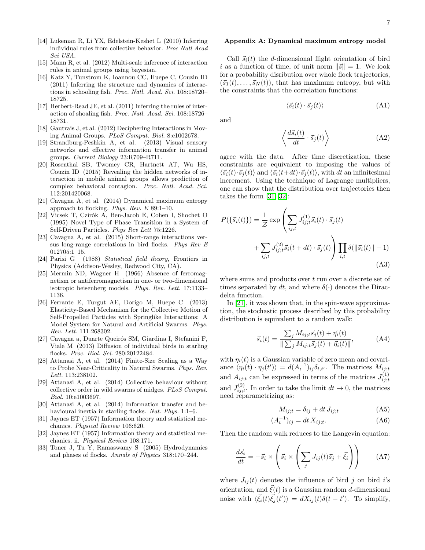- <span id="page-6-0"></span>[14] Lukeman R, Li YX, Edelstein-Keshet L (2010) Inferring individual rules from collective behavior. Proc Natl Acad Sci USA.
- <span id="page-6-1"></span>[15] Mann R, et al. (2012) Multi-scale inference of interaction rules in animal groups using bayesian.
- <span id="page-6-2"></span>[16] Katz Y, Tunstrom K, Ioannou CC, Huepe C, Couzin ID (2011) Inferring the structure and dynamics of interactions in schooling fish. Proc. Natl. Acad. Sci. 108:18720– 18725.
- [17] Herbert-Read JE, et al. (2011) Inferring the rules of interaction of shoaling fish. Proc. Natl. Acad. Sci. 108:18726– 18731.
- <span id="page-6-4"></span>[18] Gautrais J, et al. (2012) Deciphering Interactions in Moving Animal Groups. PLoS Comput. Biol. 8:e1002678.
- [19] Strandburg-Peshkin A, et al. (2013) Visual sensory networks and effective information transfer in animal groups. Current Biology 23:R709–R711.
- <span id="page-6-3"></span>[20] Rosenthal SB, Twomey CR, Hartnett AT, Wu HS, Couzin ID (2015) Revealing the hidden networks of interaction in mobile animal groups allows prediction of complex behavioral contagion. Proc. Natl. Acad. Sci. 112:201420068.
- <span id="page-6-5"></span>[21] Cavagna A, et al. (2014) Dynamical maximum entropy approach to flocking. Phys. Rev.  $E$  89:1-10.
- <span id="page-6-6"></span>[22] Vicsek T, Czirók A, Ben-Jacob E, Cohen I, Shochet O (1995) Novel Type of Phase Transition in a System of Self-Driven Particles. Phys Rev Lett 75:1226.
- <span id="page-6-7"></span>[23] Cavagna A, et al. (2015) Short-range interactions versus long-range correlations in bird flocks. Phys Rev E 012705:1–15.
- <span id="page-6-8"></span>[24] Parisi G (1988) Statistical field theory, Frontiers in Physics (Addison-Wesley, Redwood City, CA).
- <span id="page-6-9"></span>[25] Mermin ND, Wagner H (1966) Absence of ferromagnetism or antiferromagnetism in one- or two-dimensional isotropic heisenberg models. Phys. Rev. Lett. 17:1133– 1136.
- <span id="page-6-10"></span>[26] Ferrante E, Turgut AE, Dorigo M, Huepe C (2013) Elasticity-Based Mechanism for the Collective Motion of Self-Propelled Particles with Springlike Interactions: A Model System for Natural and Artificial Swarms. Phys. Rev. Lett. 111:268302.
- <span id="page-6-11"></span>[27] Cavagna a, Duarte Queirós SM, Giardina I, Stefanini F, Viale M (2013) Diffusion of individual birds in starling flocks. Proc. Biol. Sci. 280:20122484.
- <span id="page-6-12"></span>[28] Attanasi A, et al. (2014) Finite-Size Scaling as a Way to Probe Near-Criticality in Natural Swarms. Phys. Rev. Lett. 113:238102.
- <span id="page-6-13"></span>[29] Attanasi A, et al. (2014) Collective behaviour without collective order in wild swarms of midges. PLoS Comput. Biol. 10:e1003697.
- <span id="page-6-14"></span>[30] Attanasi A, et al. (2014) Information transfer and behavioural inertia in starling flocks. Nat. Phys. 1:1–6.
- <span id="page-6-15"></span>[31] Jaynes ET (1957) Information theory and statistical mechanics. Physical Review 106:620.
- <span id="page-6-16"></span>[32] Jaynes ET (1957) Information theory and statistical mechanics. ii. Physical Review 108:171.
- <span id="page-6-18"></span>[33] Toner J, Tu Y, Ramaswamy S (2005) Hydrodynamics and phases of flocks. Annals of Physics 318:170–244.

## Appendix A: Dynamical maximum entropy model

Call  $\vec{s}_i(t)$  the d-dimensional flight orientation of bird i as a function of time, of unit norm  $\|\vec{s}\| = 1$ . We look for a probability disribution over whole flock trajectories,  $({\vec{s}_1}(t), \ldots, {\vec{s}_N}(t))$ , that has maximum entropy, but with the constraints that the correlation functions:

$$
\langle \vec{s}_i(t) \cdot \vec{s}_j(t) \rangle \tag{A1}
$$

and

$$
\left\langle \frac{d\vec{s}_i(t)}{dt} \cdot \vec{s}_j(t) \right\rangle \tag{A2}
$$

agree with the data. After time discretization, these constraints are equivalent to imposing the values of  $\langle \vec{s_i}(t) \cdot \vec{s}_j(t) \rangle$  and  $\langle \vec{s_i}(t+dt) \cdot \vec{s}_j(t) \rangle$ , with dt an infinitesimal increment. Using the technique of Lagrange multipliers, one can show that the distribution over trajectories then takes the form [\[31,](#page-6-15) [32\]](#page-6-16):

$$
P(\{\vec{s_i}(t)\}) = \frac{1}{\mathcal{Z}} \exp\left(\sum_{ij,t} J_{ij,t}^{(1)} \vec{s_i}(t) \cdot \vec{s_j}(t) + \sum_{ij,t} J_{ij,t}^{(2)} \vec{s_i}(t+dt) \cdot \vec{s_j}(t)\right) \prod_{i,t} \delta(\|\vec{s_i}(t)\| - 1)
$$
\n(A3)

where sums and products over  $t$  run over a discrete set of times separated by dt, and where  $\delta(\cdot)$  denotes the Diracdelta function.

In [\[21\]](#page-6-5), it was shown that, in the spin-wave approximation, the stochastic process described by this probability distribution is equivalent to a random walk:

$$
\vec{s}_i(t) = \frac{\sum_j M_{ij;t}\vec{s}_j(t) + \vec{\eta}_i(t)}{\|\sum_j M_{ij;t}\vec{s}_j(t) + \vec{\eta}_i(t)\|},\tag{A4}
$$

with  $\eta_i(t)$  is a Gaussian variable of zero mean and covariance  $\langle \eta_i(t) \cdot \eta_j(t') \rangle = d(A_t^{-1})_{ij} \delta_{t,t'}$ . The matrices  $M_{ij;t}$ and  $A_{ij;t}$  can be expressed in terms of the matrices  $J_{ij;t}^{(1)}$ and  $J_{ij;t}^{(2)}$ . In order to take the limit  $dt \to 0$ , the matrices need reparametrizing as:

$$
M_{ij;t} = \delta_{ij} + dt J_{ij;t}
$$
 (A5)

$$
A_t^{-1})_{ij} = dt X_{ij;t}.
$$
 (A6)

Then the random walk reduces to the Langevin equation:

 $($ 

<span id="page-6-17"></span>
$$
\frac{d\vec{s}_i}{dt} = -\vec{s}_i \times \left(\vec{s}_i \times \left(\sum_j J_{ij}(t)\vec{s}_j + \vec{\xi}_i\right)\right) \tag{A7}
$$

where  $J_{ij}(t)$  denotes the influence of bird j on bird i's orientation, and  $\vec{\xi}(t)$  is a Gaussian random d-dimensional noise with  $\langle \vec{\xi_i}(t) \vec{\xi_j}(t') \rangle = dX_{ij}(t) \delta(t - t')$ . To simplify,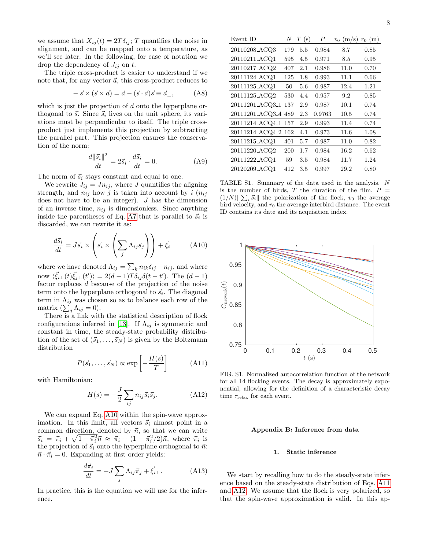we assume that  $X_{ij}(t) = 2T\delta_{ij}$ ; T quantifies the noise in alignment, and can be mapped onto a temperature, as we'll see later. In the following, for ease of notation we drop the dependency of  $J_{ij}$  on t.

The triple cross-product is easier to understand if we note that, for any vector  $\vec{a}$ , this cross-product reduces to

$$
-\vec{s} \times (\vec{s} \times \vec{a}) = \vec{a} - (\vec{s} \cdot \vec{a})\vec{s} \equiv \vec{a}_{\perp}, \quad (A8)
$$

which is just the projection of  $\vec{a}$  onto the hyperplane orthogonal to  $\vec{s}$ . Since  $\vec{s}_i$  lives on the unit sphere, its variations must be perpendicular to itself. The triple crossproduct just implements this projection by subtracting the parallel part. This projection ensures the conservation of the norm:

$$
\frac{d\|\vec{s}_i\|^2}{dt} = 2\vec{s}_i \cdot \frac{d\vec{s}_i}{dt} = 0.
$$
 (A9)

The norm of  $\vec{s}_i$  stays constant and equal to one.

We rewrite  $J_{ij} = J n_{ij}$ , where J quantifies the aligning strength, and  $n_{ij}$  how j is taken into account by i  $(n_{ij})$ does not have to be an integer).  $J$  has the dimension of an inverse time,  $n_{ij}$  is dimensionless. Since anything inside the parentheses of Eq. [A7](#page-6-17) that is parallel to  $\vec{s}_i$  is discarded, we can rewrite it as:

<span id="page-7-0"></span>
$$
\frac{d\vec{s}_i}{dt} = J\vec{s}_i \times \left(\vec{s}_i \times \left(\sum_j \Lambda_{ij}\vec{s}_j\right)\right) + \vec{\xi}_{i\perp} \tag{A10}
$$

where we have denoted  $\Lambda_{ij} = \sum_{k} n_{ik} \delta_{ij} - n_{ij}$ , and where now  $\langle \vec{\xi}_{i\perp}(t)\vec{\xi}_{j\perp}(t')\rangle = 2(d-1)T\delta_{ij}\delta(t-t')$ . The  $(d-1)$ factor replaces d because of the projection of the noise term onto the hyperplane orthogonal to  $\vec{s}_i$ . The diagonal term in  $\Lambda_{ij}$  was chosen so as to balance each row of the matrix  $(\sum_j \Lambda_{ij} = 0).$ 

There is a link with the statistical description of flock configurations inferred in [\[13\]](#page-5-7). If  $\Lambda_{ij}$  is symmetric and constant in time, the steady-state probability distribution of the set of  $(\vec{s}_1, \ldots, \vec{s}_N)$  is given by the Boltzmann distribution

<span id="page-7-1"></span>
$$
P(\vec{s}_1, \dots, \vec{s}_N) \propto \exp\left[-\frac{H(s)}{T}\right] \tag{A11}
$$

with Hamiltonian:

<span id="page-7-2"></span>
$$
H(s) = -\frac{J}{2} \sum_{ij} n_{ij} \vec{s_i} \vec{s_j}.
$$
 (A12)

We can expand Eq. [A10](#page-7-0) within the spin-wave approximation. In this limit, all vectors  $\vec{s}_i$  almost point in a common direction, denoted by  $\vec{n}$ , so that we can write  $\vec{s}_i = \vec{\pi}_i + \sqrt{1 - \vec{\pi}_i^2} \vec{n} \approx \vec{\pi}_i + (1 - \vec{\pi}_i^2/2)\vec{n}$ , where  $\vec{\pi}_i$  is the projection of  $\vec{s}_i$  onto the hyperplane orthogonal to  $\vec{n}$ :  $\vec{n} \cdot \vec{\pi}_i = 0$ . Expanding at first order yields:

<span id="page-7-3"></span>
$$
\frac{d\vec{\pi}_i}{dt} = -J\sum_j \Lambda_{ij}\vec{\pi}_j + \vec{\xi}_{i\perp}.
$$
 (A13)

In practice, this is the equation we will use for the inference.

| Event ID                   | N   | Т<br>(s) | P      | $v_0$ (m/s) | (m)<br>$r_0$ |
|----------------------------|-----|----------|--------|-------------|--------------|
| 20110208 <sub>-ACQ3</sub>  | 179 | 5.5      | 0.984  | 8.7         | 0.85         |
| 20110211_ACQ1              | 595 | 4.5      | 0.971  | 8.5         | 0.95         |
| 20110217_ACQ2              | 407 | 2.1      | 0.986  | 11.0        | 0.70         |
| 20111124_ACQ1              | 125 | 1.8      | 0.993  | 11.1        | 0.66         |
| 20111125_ACQ1              | 50  | 5.6      | 0.987  | 12.4        | 1.21         |
| 20111125_ACQ2              | 530 | 4.4      | 0.957  | 9.2         | 0.85         |
| 20111201_ACQ3_1            | 137 | 2.9      | 0.987  | 10.1        | 0.74         |
| 20111201_ACQ3_4            | 489 | 2.3      | 0.9763 | 10.5        | 0.74         |
| 20111214_ACQ4_1            | 157 | 2.9      | 0.993  | 11.4        | 0.74         |
| 20111214_ACQ4_2 162        |     | 4.1      | 0.973  | 11.6        | 1.08         |
| 20111215_ACQ1              | 401 | 5.7      | 0.987  | 11.0        | 0.82         |
| 20111220 <sub>-</sub> ACQ2 | 200 | 1.7      | 0.984  | 16.2        | 0.62         |
| 20111222_ACQ1              | 59  | 3.5      | 0.984  | 11.7        | 1.24         |
| 20120209_ACQ1              | 412 | 3.5      | 0.997  | 29.2        | 0.80         |

TABLE S1. Summary of the data used in the analysis. N is the number of birds,  $T$  the duration of the film,  $P$  $(1/N)$   $\sum_i \vec{s_i}$  the polarization of the flock,  $v_0$  the average bird velocity, and  $r_0$  the average interbird distance. The event ID contains its date and its acquisition index.



FIG. S1. Normalized autocorrelation function of the network for all 14 flocking events. The decay is approximately exponential, allowing for the definition of a characteristic decay time  $\tau_{\rm relax}$  for each event.

# Appendix B: Inference from data

#### 1. Static inference

We start by recalling how to do the steady-state inference based on the steady-state distribution of Eqs. [A11](#page-7-1) and [A12.](#page-7-2) We assume that the flock is very polarized, so that the spin-wave approximation is valid. In this ap-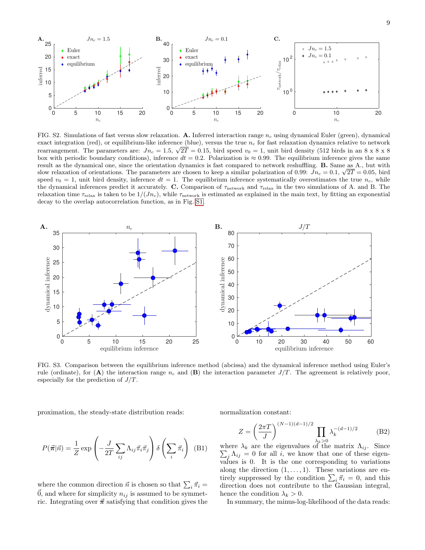

FIG. S2. Simulations of fast versus slow relaxation. A. Inferred interaction range  $n_c$  using dynamical Euler (green), dynamical exact integration (red), or equilibrium-like inference (blue), versus the true  $n_c$  for fast relaxation dynamics relative to network exact integration (red), or equilibrium-like interence (blue), versus the true  $n_c$  for last relaxation dynamics relative to hetwork rearrangement. The parameters are:  $Jn_c = 1.5$ ,  $\sqrt{2T} = 0.15$ , bird speed  $v_0 = 1$ , unit box with periodic boundary conditions), inference  $dt = 0.2$ . Polarization is  $\approx 0.99$ . The equilibrium inference gives the same result as the dynamical one, since the orientation dynamics is fast compared to network reshuffling. B. Same as A., but with result as the dynamical one, since the orientation dynamics is fast compared to network reshuffling. **B.** Same as A., but with slow relaxation of orientations. The parameters are chosen to keep a similar polarization of 0 speed  $v_0 = 1$ , unit bird density, inference  $dt = 1$ . The equilibrium inference systematically overestimates the true  $n_c$ , while the dynamical inferences predict it accurately. C. Comparison of  $\tau_{\text{network}}$  and  $\tau_{\text{relax}}$  in the two simulations of A. and B. The relaxation time  $\tau_{relax}$  is taken to be  $1/(Jn_c)$ , while  $\tau_{network}$  is estimated as explained in the main text, by fitting an exponential decay to the overlap autocorrelation function, as in Fig. [S1.](#page-1-4)



FIG. S3. Comparison between the equilibrium inference method (abcissa) and the dynamical inference method using Euler's rule (ordinate), for (A) the interaction range  $n_c$  and (B) the interaction parameter  $J/T$ . The agreement is relatively poor, especially for the prediction of  $J/T$ .

(B1)

proximation, the steady-state distribution reads:

 $\Lambda_{ij} \vec{\pi}_i \vec{\pi}_j$ 

where the common direction  $\vec{n}$  is chosen so that  $\sum_i \vec{\pi}_i =$  $\vec{0}$ , and where for simplicity  $n_{ij}$  is assumed to be symmetric. Integrating over  $\vec{\pi}$  satisfying that condition gives the

 $\setminus$  $\int$   $\delta$   $\left( \sum$ i  $\vec{\pi}_i$  $\setminus$ 

 $\sqrt{ }$  $\left(-\frac{J}{2I}\right)$ 2T  $\sum$ ij

 $P(\vec{\pi}|\vec{n}) = \frac{1}{Z} \exp$ 

normalization constant:

$$
Z = \left(\frac{2\pi T}{J}\right)^{(N-1)(d-1)/2} \prod_{\lambda_k > 0} \lambda_k^{-(d-1)/2} \tag{B2}
$$

where  $\lambda_k$  are the eigenvalues of the matrix  $\Lambda_{ij}$ . Since  $\sum_j \Lambda_{ij} = 0$  for all i, we know that one of these eigenvalues is 0. It is the one corresponding to variations along the direction  $(1, \ldots, 1)$ . These variations are entirely suppressed by the condition  $\sum_i \vec{\pi}_i = 0$ , and this direction does not contribute to the Gaussian integral, hence the condition  $\lambda_k > 0$ .

In summary, the minus-log-likelihood of the data reads: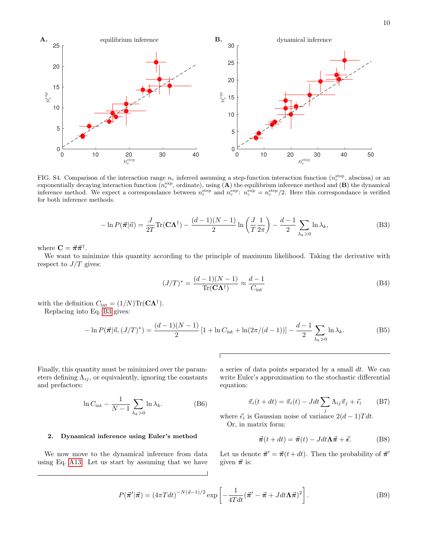

<span id="page-9-2"></span>FIG. S4. Comparison of the interaction range  $n_c$  inferred assuming a step-function interaction function  $(n_c^{\text{step}}, \text{abscissa})$  or an exponentially decaying interaction function  $(n_c^{\text{exp}}, \text{ordinate})$ , using  $(A)$  the equilibrium inference method and  $(B)$  the dynamical inference method. We expect a correspondance between  $n_c^{\text{step}}$  and  $n_c^{\text{exp}}$ :  $n_c^{\text{exp}} = n_c^{\text{step}}/2$ . Here this correspondance is verified for both inference methods.

<span id="page-9-0"></span>
$$
-\ln P(\vec{\boldsymbol{\pi}}|\vec{n}) = \frac{J}{2T} \text{Tr}(\mathbf{C}\mathbf{\Lambda}^{\dagger}) - \frac{(d-1)(N-1)}{2} \ln\left(\frac{J}{T}\frac{1}{2\pi}\right) - \frac{d-1}{2} \sum_{\lambda_k>0} \ln \lambda_k,
$$
(B3)

where  $\mathbf{C} = \vec{\boldsymbol{\pi}} \vec{\boldsymbol{\pi}}^{\dagger}$ .

We want to minimize this quantity according to the principle of maximum likelihood. Taking the derivative with respect to  $J/T$  gives:

$$
(J/T)^{*} = \frac{(d-1)(N-1)}{\text{Tr}(\mathbf{C}\mathbf{\Lambda}^{\dagger})} \approx \frac{d-1}{C_{\text{int}}} \tag{B4}
$$

with the definition  $C_{\text{int}} = (1/N) \text{Tr}(\mathbf{C} \mathbf{\Lambda}^{\dagger}).$ Replacing into Eq. [B3](#page-9-0) gives:

$$
-\ln P(\vec{\pi}|\vec{n}, (J/T)^*) = \frac{(d-1)(N-1)}{2} \left[1 + \ln C_{\text{int}} + \ln(2\pi/(d-1))\right] - \frac{d-1}{2} \sum_{\lambda_k > 0} \ln \lambda_k.
$$
 (B5)

Finally, this quantity must be minimized over the parameters defining  $\Lambda_{ij}$ , or equivalently, ignoring the constants and prefactors:

$$
\ln C_{\text{int}} - \frac{1}{N - 1} \sum_{\lambda_k > 0} \ln \lambda_k. \tag{B6}
$$

a series of data points separated by a small  $dt$ . We can write Euler's approximation to the stochastic differential equation:

<span id="page-9-1"></span>
$$
\vec{\pi}_i(t+dt) = \vec{\pi}_i(t) - Jdt \sum_i \Lambda_{ij} \vec{\pi}_j + \vec{\epsilon}_i \qquad (B7)
$$

where  $\vec{\epsilon}_i$  is Gaussian noise of variance  $2(d-1)Tdt$ . Or, in matrix form:

# $\vec{\pi}(t + dt) = \vec{\pi}(t) - Jdt\Lambda\vec{\pi} + \vec{\epsilon}.$  (B8)

We now move to the dynamical inference from data using Eq. [A13.](#page-7-3) Let us start by assuming that we have

2. Dynamical inference using Euler's method

Let us denote  $\vec{\pi}' = \vec{\pi}(t + dt)$ . Then the probability of  $\vec{\pi}'$ given  $\vec{\pi}$  is:

$$
P(\vec{\boldsymbol{\pi}}'|\vec{\boldsymbol{\pi}}) = (4\pi T dt)^{-N(d-1)/2} \exp\left[-\frac{1}{4T dt}(\vec{\boldsymbol{\pi}}' - \vec{\boldsymbol{\pi}} + J dt \Lambda \vec{\boldsymbol{\pi}})^2\right].
$$
 (B9)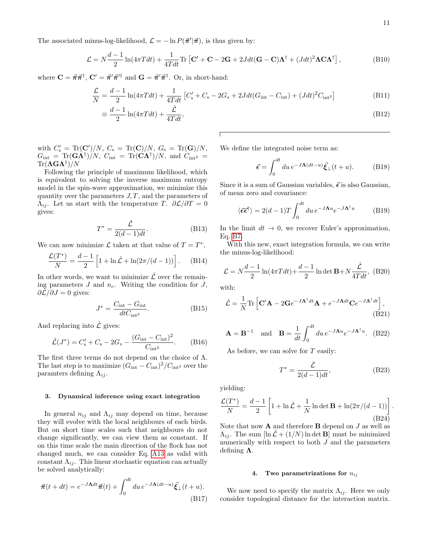The associated minus-log-likelihood,  $\mathcal{L} = -\ln P(\vec{\pi}'|\vec{\pi})$ , is thus given by:

$$
\mathcal{L} = N \frac{d-1}{2} \ln(4\pi T dt) + \frac{1}{4T dt} \text{Tr} \left[ \mathbf{C}' + \mathbf{C} - 2\mathbf{G} + 2J dt (\mathbf{G} - \mathbf{C}) \mathbf{\Lambda}^{\dagger} + (J dt)^2 \mathbf{\Lambda} \mathbf{C} \mathbf{\Lambda}^{\dagger} \right],
$$
 (B10)

where  $\mathbf{C} = \vec{\pi} \vec{\pi}^{\dagger}$ ,  $\mathbf{C}' = \vec{\pi}' \vec{\pi}'^{\dagger}$  and  $\mathbf{G} = \vec{\pi}' \vec{\pi}^{\dagger}$ . Or, in short-hand:

$$
\frac{\mathcal{L}}{N} = \frac{d-1}{2}\ln(4\pi Tdt) + \frac{1}{4Tdt}\left[C_s' + C_s - 2G_s + 2Jdt(G_{\text{int}} - C_{\text{int}}) + (Jdt)^2 C_{\text{int}^2}\right]
$$
(B11)

$$
\frac{d-1}{2}\ln(4\pi Tdt) + \frac{\hat{\mathcal{L}}}{4Tdt},\tag{B12}
$$

with  $C'_{s} = Tr(C')/N, C_{s} = Tr(C)/N, G_{s} = Tr(G)/N,$  $G_{\rm int} = {\rm Tr}({\bf G}\bm \Lambda^\dagger)/N, \ C_{\rm int} = {\rm Tr}({\bf C}\bm \Lambda^\dagger)/N, \ {\rm and} \ \ C_{\rm int^2} =$  $\text{Tr}(\boldsymbol\Lambda\mathbf{G}\boldsymbol\Lambda^\dagger)/N$ 

≡

Following the principle of maximum likelihood, which is equivalent to solving the inverse maximum entropy model in the spin-wave approximation, we minimize this quantity over the parameters  $J, T$ , and the parameters of  $\Lambda_{ij}$ . Let us start with the temperature T.  $\partial \mathcal{L}/\partial T = 0$ gives:

$$
T^* = \frac{\hat{\mathcal{L}}}{2(d-1)dt}.
$$
 (B13)

We can now minimize  $\mathcal L$  taken at that value of  $T = T^*$ ,

$$
\frac{\mathcal{L}(T^*)}{N} = \frac{d-1}{2} \left[ 1 + \ln \hat{\mathcal{L}} + \ln(2\pi/(d-1)) \right].
$$
 (B14)

In other words, we want to minimize  $\mathcal L$  over the remaining parameters  $J$  and  $n_c$ . Writing the condition for  $J$ ,  $\partial \mathcal{L}/\partial J = 0$  gives:

$$
J^* = \frac{C_{\text{int}} - G_{\text{int}}}{dt C_{\text{int}^2}}.
$$
 (B15)

And replacing into  $\hat{\mathcal{L}}$  gives:

$$
\hat{\mathcal{L}}(J^*) = C_s' + C_s - 2G_s - \frac{(G_{\text{int}} - C_{\text{int}})^2}{C_{\text{int}^2}}.
$$
 (B16)

The first three terms do not depend on the choice of  $\Lambda$ . The last step is to maximize  $(G_{int} - C_{int})^2 / C_{int^2}$  over the paramters defining  $\Lambda_{ij}$ .

# 3. Dynamical inference using exact integration

In general  $n_{ij}$  and  $\Lambda_{ij}$  may depend on time, because they will evolve with the local neighbours of each birds. But on short time scales such that neighbours do not change significantly, we can view them as constant. If on this time scale the main direction of the flock has not changed much, we can consider Eq. [A13](#page-7-3) as valid with constant  $\Lambda_{ij}$ . This linear stochastic equation can actually be solved analytically:

$$
\vec{\pi}(t+dt) = e^{-J\Lambda dt}\vec{\pi}(t) + \int_0^{dt} du \, e^{-J\Lambda(dt-u)}\vec{\xi}_{\perp}(t+u). \tag{B17}
$$

We define the integrated noise term as:

$$
\vec{\epsilon} = \int_0^{dt} du \, e^{-J\Lambda(dt-u)} \vec{\xi}_{\perp}(t+u). \tag{B18}
$$

Since it is a sum of Gaussian variables,  $\vec{\epsilon}$  is also Gaussian, of mean zero and covariance:

$$
\langle \vec{\epsilon} \vec{\epsilon}^{\dagger} \rangle = 2(d-1)T \int_0^{dt} du \, e^{-J\Lambda u} e^{-J\Lambda^{\dagger} u} \tag{B19}
$$

In the limit  $dt \to 0$ , we recover Euler's approximation, Eq. [B7.](#page-9-1)

With this new, exact integration formula, we can write the minus-log-likelihood:

$$
\mathcal{L} = N \frac{d-1}{2} \ln(4\pi T dt) + \frac{d-1}{2} \ln \det \mathbf{B} + N \frac{\hat{\mathcal{L}}}{4T dt},
$$
 (B20)

with:

$$
\hat{\mathcal{L}} = \frac{1}{N} \text{Tr} \left[ \mathbf{C}' \mathbf{A} - 2 \mathbf{G} e^{-J \mathbf{\Lambda}^\dagger dt} \mathbf{A} + e^{-J \mathbf{\Lambda} dt} \mathbf{C} e^{-J \mathbf{\Lambda}^\dagger dt} \right],
$$
\n(B21)

$$
\mathbf{A} = \mathbf{B}^{-1} \quad \text{and} \quad \mathbf{B} = \frac{1}{dt} \int_0^{dt} du \, e^{-J\mathbf{\Lambda}^u} e^{-J\mathbf{\Lambda}^{\dagger} u} . \tag{B22}
$$

As before, we can solve for  $T$  easily:

$$
T^* = \frac{\hat{\mathcal{L}}}{2(d-1)dt},\tag{B23}
$$

yielding:

$$
\frac{\mathcal{L}(T^*)}{N} = \frac{d-1}{2} \left[ 1 + \ln \hat{\mathcal{L}} + \frac{1}{N} \ln \det \mathbf{B} + \ln(2\pi/(d-1)) \right].
$$
\n(B24)

Note that now  ${\bf A}$  and therefore  ${\bf B}$  depend on  $J$  as well as  $\Lambda_{ij}$ . The sum  $[\ln \mathcal{L} + (1/N) \ln \det \mathbf{B}]$  must be minimized numerically with respect to both  $J$  and the parameters defining  $\Lambda$ .

## 4. Two parametrizations for  $n_{ij}$

We now need to specify the matrix  $\Lambda_{ij}$ . Here we only consider topological distance for the interaction matrix.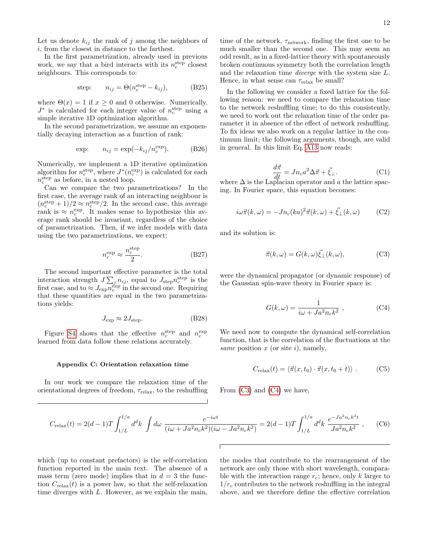Let us denote  $k_{ij}$  the rank of j among the neighbors of i, from the closest in distance to the farthest.

In the first parametrization, already used in previous work, we say that a bird interacts with its  $n_c^{\text{step}}$  closest neighbours. This corresponds to:

step: 
$$
n_{ij} = \Theta(n_c^{\text{step}} - k_{ij}),
$$
 (B25)

where  $\Theta(x) = 1$  if  $x \geq 0$  and 0 otherwise. Numerically,  $J^*$  is calculated for each integer value of  $n_c^{\text{step}}$  using a simple iterative 1D optimization algorithm.

In the second parametrization, we assume an exponentially decaying interaction as a function of rank:

exp: 
$$
n_{ij} = \exp(-k_{ij}/n_c^{\exp}).
$$
 (B26)

Numerically, we implement a 1D iterative optimization algorithm for  $n_c^{\text{step}}$ , where  $J^*(n_c^{\text{exp}})$  is calculated for each  $n_c^{\text{step}}$  as before, in a nested loop.

Can we compare the two parametrizations? In the first case, the average rank of an interacting neighbour is  $(n_c^{\text{step}}+1)/2 \approx n_c^{\text{step}}/2$ . In the second case, this average rank is  $\approx n_c^{\text{exp}}$ . It makes sense to hypothesize this average rank should be invariant, regardless of the choice of parametrization. Then, if we infer models with data using the two parametrizations, we expect:

$$
n_c^{\text{exp}} \approx \frac{n_c^{\text{step}}}{2}.\tag{B27}
$$

The second important effective parameter is the total interaction strength  $J\sum_j n_{ij}$ , equal to  $J_{\text{step}}n_c^{\text{step}}$  is the first case, and to  $\approx J_{\exp} \overline{n_c^{\exp}}$  in the second one. Requiring that these quantities are equal in the two parametrizations yields:

$$
J_{\rm exp} \approx 2J_{\rm step}.\tag{B28}
$$

Figure [S4](#page-9-2) shows that the effective  $n_c^{\text{step}}$  and  $n_c^{\text{exp}}$ learned from data follow these relations accurately.

#### Appendix C: Orientation relaxation time

In our work we compare the relaxation time of the orientational degrees of freedom,  $\tau_{relax}$ , to the reshuffling

time of the network,  $\tau_{network}$ , finding the first one to be much smaller than the second one. This may seem an odd result, as in a fixed-lattice theory with spontaneously broken continuous symmetry both the correlation length and the relaxation time diverge with the system size L. Hence, in what sense can  $\tau_{relax}$  be small?

In the following we consider a fixed lattice for the following reason: we need to compare the relaxation time to the network reshuffling time; to do this consistently, we need to work out the relaxation time of the order parameter it in absence of the effect of network reshuffling. To fix ideas we also work on a regular lattice in the continuum limit; the following arguments, though, are valid in general. In this limit Eq. [A13](#page-7-3) now reads:

$$
\frac{d\vec{\pi}}{dt} = Jn_c a^2 \Delta \vec{\pi} + \vec{\xi}_{\perp}.
$$
 (C1)  
where  $\Delta$  is the Laplacian operator and a the lattice space-

ing. In Fourier space, this equation becomes:

$$
i\omega \vec{\pi}(k,\omega) = -Jn_c(ka)^2 \vec{\pi}(k,\omega) + \vec{\xi}_{\perp}(k,\omega)
$$
 (C2)

and its solution is:

<span id="page-11-0"></span>
$$
\vec{\pi}(k,\omega) = G(k,\omega)\vec{\xi}_{\perp}(k,\omega),\tag{C3}
$$

were the dynamical propagator (or dynamic response) of the Gaussian spin-wave theory in Fourier space is:

<span id="page-11-1"></span>
$$
G(k,\omega) = \frac{1}{i\omega + Ja^2n_c k^2} , \qquad (C4)
$$

We need now to compute the dynamical self-correlation function, that is the correlation of the fluctuations at the same position  $x$  (or site i), namely,

$$
C_{\text{relax}}(t) = \langle \vec{\pi}(x, t_0) \cdot \vec{\pi}(x, t_0 + t) \rangle . \tag{C5}
$$

From [\(C3\)](#page-11-0) and [\(C4\)](#page-11-1) we have,

<span id="page-11-2"></span>
$$
C_{\text{relax}}(t) = 2(d-1)T \int_{1/L}^{1/a} d^d k \int d\omega \, \frac{e^{-i\omega t}}{(i\omega + Ja^2 n_c k^2)(i\omega - Ja^2 n_c k^2)} = 2(d-1)T \int_{1/L}^{1/a} d^d k \, \frac{e^{-Ja^2 n_c k^2 t}}{Ja^2 n_c k^2} \,, \tag{C6}
$$

which (up to constant prefactors) is the self-correlation function reported in the main text. The absence of a mass term (zero mode) implies that in  $d = 3$  the function  $C_{\text{relax}}(t)$  is a power law, so that the self-relaxation time diverges with L. However, as we explain the main,

the modes that contribute to the rearrangement of the network are only those with short wavelength, comparable with the interaction range  $r_c$ ; hence, only k larger to  $1/r_c$  contributes to the network reshuffling in the integral above, and we therefore define the effective correlation